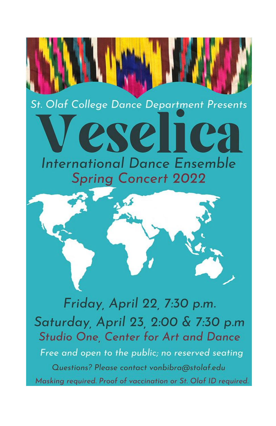## St. Olaf College Dance Department Presents

# IIC **International Dance Ensemble Spring Concert 2022**



Friday, April 22, 7:30 p.m. Saturday, April 23, 2:00 & 7:30 p.m Studio One, Center for Art and Dance Free and open to the public; no reserved seating Questions? Please contact vonbibra@stolaf.edu Masking required. Proof of vaccination or St. Olaf ID required.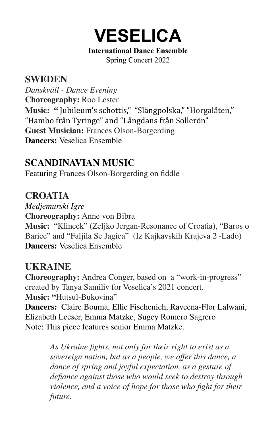

#### **International Dance Ensemble** Spring Concert 2022

#### **SWEDEN**

*Danskväll - Dance Evening* **Choreography:** Roo Lester **Music: "** Jubileum's schottis," "Slängpolska," "Horgalåten," "Hambo från Tyringe" and "Långdans från Sollerön" **Guest Musician:** Frances Olson-Borgerding **Dancers:** Veselica Ensemble

#### **SCANDINAVIAN MUSIC**

Featuring Frances Olson-Borgerding on fiddle

#### **CROATIA**

*Medjemurski Igre* **Choreography:** Anne von Bibra **Music:** "Klincek" (Zeljko Jergan-Resonance of Croatia), "Baros o Barice" and "Faljila Se Jagica" (Iz Kajkavskih Krajeva 2 -Lado) **Dancers:** Veselica Ensemble

#### **UKRAINE**

**Choreography:** Andrea Conger, based on a "work-in-progress" created by Tanya Samiliv for Veselica's 2021 concert. **Music: "**Hutsul-Bukovina"

**Dancers:** Claire Bouma, Ellie Fischenich, Raveena-Flor Lalwani, Elizabeth Leeser, Emma Matzke, Sugey Romero Sagrero Note: This piece features senior Emma Matzke.

> *As Ukraine fights, not only for their right to exist as a sovereign nation, but as a people, we offer this dance, a dance of spring and joyful expectation, as a gesture of defiance against those who would seek to destroy through violence, and a voice of hope for those who fight for their future.*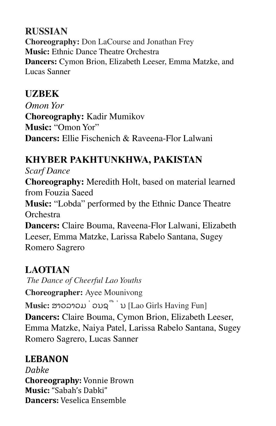## **RUSSIAN**

**Choreography:** Don LaCourse and Jonathan Frey **Music:** Ethnic Dance Theatre Orchestra **Dancers:** Cymon Brion, Elizabeth Leeser, Emma Matzke, and Lucas Sanner

## **UZBEK**

*Omon Yor* **Choreography:** Kadir Mumikov **Music:** "Omon Yor" **Dancers:** Ellie Fischenich & Raveena-Flor Lalwani

## **KHYBER PAKHTUNKHWA, PAKISTAN**

*Scarf Dance*

**Choreography:** Meredith Holt, based on material learned from Fouzia Saeed

**Music:** "Lobda" performed by the Ethnic Dance Theatre **Orchestra** 

**Dancers:** Claire Bouma, Raveena-Flor Lalwani, Elizabeth Leeser, Emma Matzke, Larissa Rabelo Santana, Sugey Romero Sagrero

## **LAOTIAN**

*The Dance of Cheerful Lao Youths* **Choreographer:** Ayee Mounivong **Music:** ສາວລາວມ່ວນຊື່ນ [Lao Girls Having Fun] **Dancers:** Claire Bouma, Cymon Brion, Elizabeth Leeser, Emma Matzke, Naiya Patel, Larissa Rabelo Santana, Sugey Romero Sagrero, Lucas Sanner

## **LEBANON**

*Dabke* **Choreography:** Vonnie Brown **Music:** "Sabah's Dabki" **Dancers:** Veselica Ensemble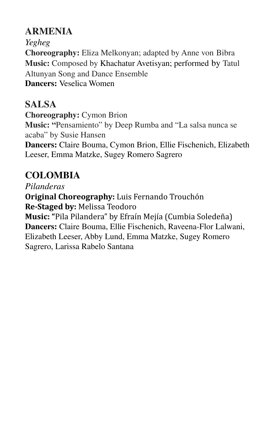## **ARMENIA**

*Yegheg* **Choreography:** Eliza Melkonyan; adapted by Anne von Bibra **Music:** Composed by Khachatur Avetisyan; performed by Tatul Altunyan Song and Dance Ensemble **Dancers:** Veselica Women

**SALSA Choreography:** Cymon Brion **Music: "**Pensamiento" by Deep Rumba and "La salsa nunca se acaba" by Susie Hansen **Dancers:** Claire Bouma, Cymon Brion, Ellie Fischenich, Elizabeth Leeser, Emma Matzke, Sugey Romero Sagrero

## **COLOMBIA**

*Pilanderas* **Original Choreography:** Luis Fernando Trouchón **Re-Staged by:** Melissa Teodoro **Music: "**Pila Pilandera" by Efraín Mejía (Cumbia Soledeña) **Dancers:** Claire Bouma, Ellie Fischenich, Raveena-Flor Lalwani, Elizabeth Leeser, Abby Lund, Emma Matzke, Sugey Romero Sagrero, Larissa Rabelo Santana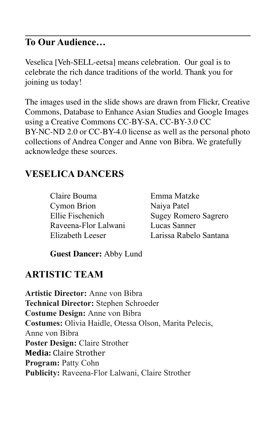#### **To Our Audience…**

Veselica [Veh-SELL-eetsa] means celebration. Our goal is to celebrate the rich dance traditions of the world. Thank you for joining us today!

The images used in the slide shows are drawn from Flickr, Creative Commons, Database to Enhance Asian Studies and Google Images using a Creative Commons CC-BY-SA, CC-BY-3.0 CC BY-NC-ND 2.0 or CC-BY-4.0 license as well as the personal photo collections of Andrea Conger and Anne von Bibra. We gratefully acknowledge these sources.

## **VESELICA DANCERS**

Claire Bouma Cymon Brion Ellie Fischenich Raveena-Flor Lalwani Elizabeth Leeser

Emma Matzke Naiya Patel Sugey Romero Sagrero Lucas Sanner Larissa Rabelo Santana

**Guest Dancer:** Abby Lund

## **ARTISTIC TEAM**

**Artistic Director:** Anne von Bibra **Technical Director:** Stephen Schroeder **Costume Design:** Anne von Bibra **Costumes:** Olivia Haidle, Otessa Olson, Marita Pelecis, Anne von Bibra **Poster Design:** Claire Strother **Media:** Claire Strother **Program:** Patty Cohn **Publicity:** Raveena-Flor Lalwani, Claire Strother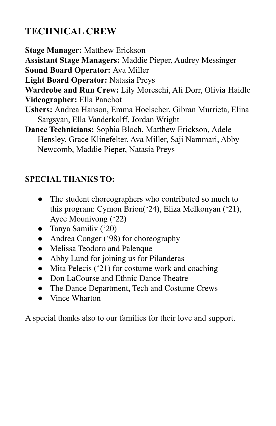## **TECHNICAL CREW**

**Stage Manager:** Matthew Erickson

**Assistant Stage Managers:** Maddie Pieper, Audrey Messinger

**Sound Board Operator:** Ava Miller

**Light Board Operator:** Natasia Preys

**Wardrobe and Run Crew:** Lily Moreschi, Ali Dorr, Olivia Haidle

**Videographer:** Ella Panchot

- **Ushers:** Andrea Hanson, Emma Hoelscher, Gibran Murrieta, Elina Sargsyan, Ella Vanderkolff, Jordan Wright
- **Dance Technicians:** Sophia Bloch, Matthew Erickson, Adele Hensley, Grace Klinefelter, Ava Miller, Saji Nammari, Abby Newcomb, Maddie Pieper, Natasia Preys

## **SPECIAL THANKS TO:**

- The student choreographers who contributed so much to this program: Cymon Brion('24), Eliza Melkonyan ('21), Ayee Mounivong ('22)
- Tanya Samiliv ('20)
- Andrea Conger ('98) for choreography
- Melissa Teodoro and Palenque
- Abby Lund for joining us for Pilanderas
- Mita Pelecis ('21) for costume work and coaching
- Don LaCourse and Ethnic Dance Theatre
- The Dance Department, Tech and Costume Crews
- Vince Wharton

A special thanks also to our families for their love and support.